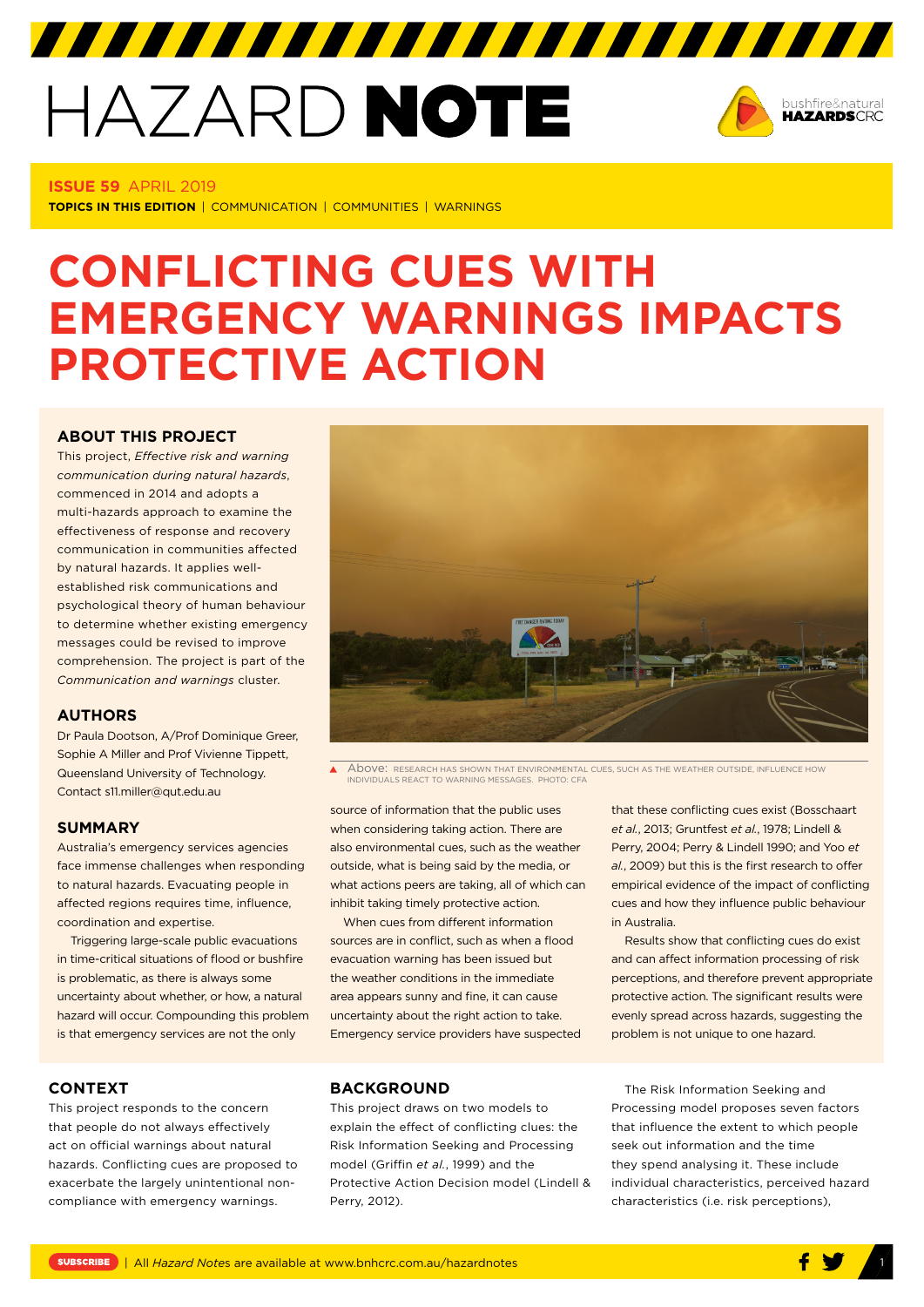# HAZARD NOTE



#### **ISSUE 59** APRIL 2019

**TOPICS IN THIS EDITION** | COMMUNICATION | COMMUNITIES | WARNINGS

# **CONFLICTING CUES WITH EMERGENCY WARNINGS IMPACTS PROTECTIVE ACTION**

# **[ABOUT THIS PROJECT](http://www.bnhcrc.com.au/hazardnotes/59)**

This project, *Effective risk and warning communication during natural hazards*, commenced in 2014 and adopts a multi-hazards approach to examine the effectiveness of response and recovery communication in communities affected by natural hazards. It applies wellestablished risk communications and psychological theory of human behaviour to determine whether existing emergency messages could be revised to improve comprehension. The project is part of the *Communication and warnings* cluster.

#### **AUTHORS**

Dr Paula Dootson, A/Prof Dominique Greer, Sophie A Miller and Prof Vivienne Tippett, Queensland University of Technology. Contact s11.miller@qut.edu.au

# **SUMMARY**

Australia's emergency services agencies face immense challenges when responding to natural hazards. Evacuating people in affected regions requires time, influence, coordination and expertise.

Triggering large-scale public evacuations in time-critical situations of flood or bushfire is problematic, as there is always some uncertainty about whether, or how, a natural hazard will occur. Compounding this problem is that emergency services are not the only



Ă Above: RESEARCH HAS SHOWN THAT ENVIRONMENTAL CUES, SUCH AS THE WEATHER OUTSIDE, INFLUENCE HOW INDIVIDUALS REACT TO WARNING MESSAGES. PHOTO: CFA

source of information that the public uses when considering taking action. There are also environmental cues, such as the weather outside, what is being said by the media, or what actions peers are taking, all of which can inhibit taking timely protective action.

When cues from different information sources are in conflict, such as when a flood evacuation warning has been issued but the weather conditions in the immediate area appears sunny and fine, it can cause uncertainty about the right action to take. Emergency service providers have suspected that these conflicting cues exist (Bosschaart *et al.*, 2013; Gruntfest *et al.*, 1978; Lindell & Perry, 2004; Perry & Lindell 1990; and Yoo *et al.*, 2009) but this is the first research to offer empirical evidence of the impact of conflicting cues and how they influence public behaviour in Australia.

Results show that conflicting cues do exist and can affect information processing of risk perceptions, and therefore prevent appropriate protective action. The significant results were evenly spread across hazards, suggesting the problem is not unique to one hazard.

#### **CONTEXT**

This project responds to the concern that people do not always effectively act on official warnings about natural hazards. Conflicting cues are proposed to exacerbate the largely unintentional noncompliance with emergency warnings.

#### **BACKGROUND**

This project draws on two models to explain the effect of conflicting clues: the Risk Information Seeking and Processing model (Griffin *et al.*, 1999) and the Protective Action Decision model (Lindell & Perry, 2012).

The Risk Information Seeking and Processing model proposes seven factors that influence the extent to which people seek out information and the time they spend analysing it. These include individual characteristics, perceived hazard characteristics (i.e. risk perceptions),

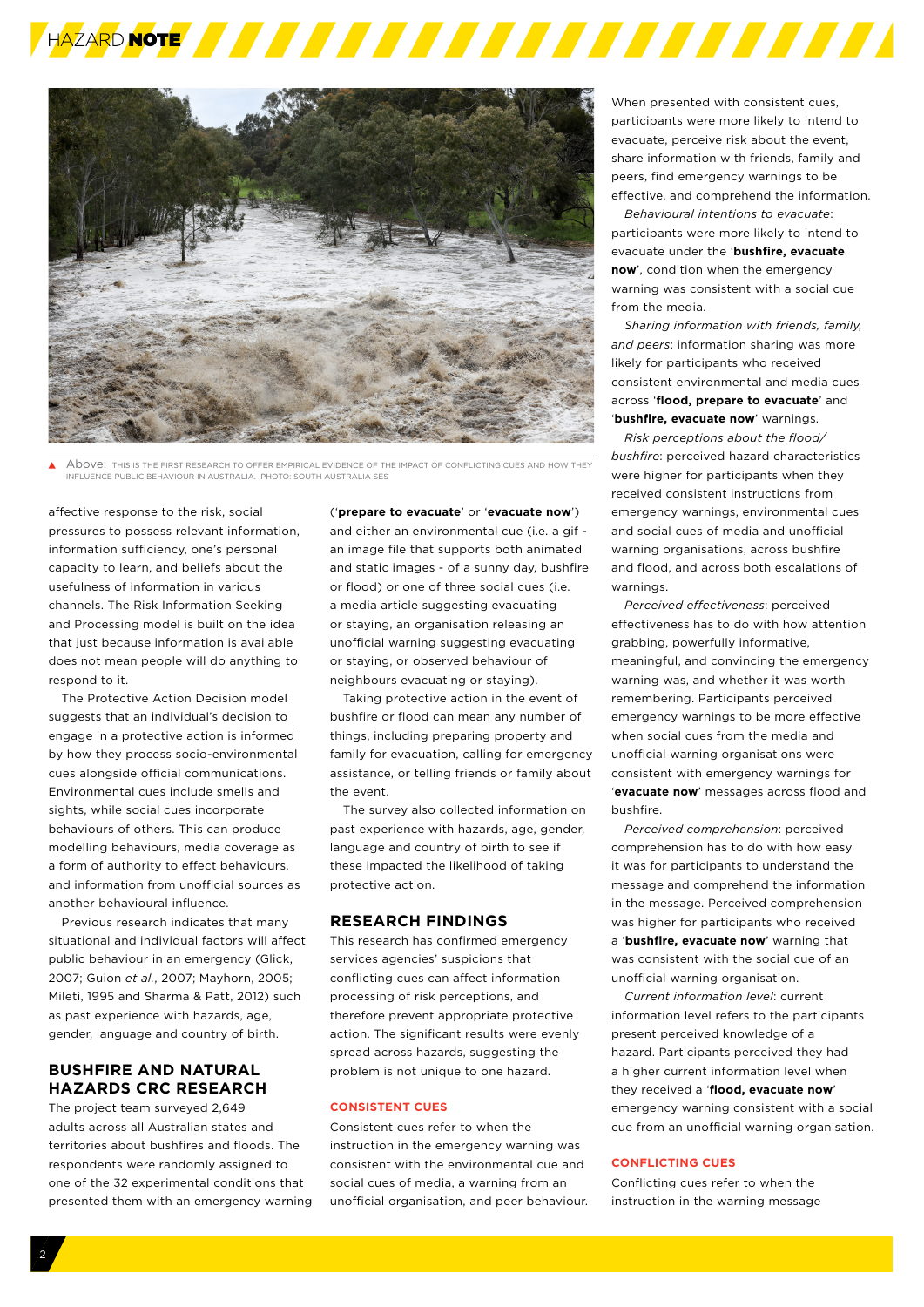



Above: THIS IS THE FIRST RESEARCH TO OFFER EMPIRICAL EVIDENCE OF THE IMPACT OF CONFLICTING CUES AND HOW THEY INFLUENCE PUBLIC BEHAVIOUR IN AUSTRALIA. PHOTO: SOUTH AUSTRALIA SES

affective response to the risk, social pressures to possess relevant information, information sufficiency, one's personal capacity to learn, and beliefs about the usefulness of information in various channels. The Risk Information Seeking and Processing model is built on the idea that just because information is available does not mean people will do anything to respond to it.

The Protective Action Decision model suggests that an individual's decision to engage in a protective action is informed by how they process socio-environmental cues alongside official communications. Environmental cues include smells and sights, while social cues incorporate behaviours of others. This can produce modelling behaviours, media coverage as a form of authority to effect behaviours, and information from unofficial sources as another behavioural influence.

Previous research indicates that many situational and individual factors will affect public behaviour in an emergency (Glick, 2007; Guion *et al.*, 2007; Mayhorn, 2005; Mileti, 1995 and Sharma & Patt, 2012) such as past experience with hazards, age, gender, language and country of birth.

# **BUSHFIRE AND NATURAL HAZARDS CRC RESEARCH**

The project team surveyed 2,649 adults across all Australian states and territories about bushfires and floods. The respondents were randomly assigned to one of the 32 experimental conditions that presented them with an emergency warning ('**prepare to evacuate**' or '**evacuate now**') and either an environmental cue (i.e. a gif an image file that supports both animated and static images - of a sunny day, bushfire or flood) or one of three social cues (i.e. a media article suggesting evacuating or staying, an organisation releasing an unofficial warning suggesting evacuating or staying, or observed behaviour of neighbours evacuating or staying).

Taking protective action in the event of bushfire or flood can mean any number of things, including preparing property and family for evacuation, calling for emergency assistance, or telling friends or family about the event.

The survey also collected information on past experience with hazards, age, gender. language and country of birth to see if these impacted the likelihood of taking protective action.

# **RESEARCH FINDINGS**

This research has confirmed emergency services agencies' suspicions that conflicting cues can affect information processing of risk perceptions, and therefore prevent appropriate protective action. The significant results were evenly spread across hazards, suggesting the problem is not unique to one hazard.

#### **CONSISTENT CUES**

Consistent cues refer to when the instruction in the emergency warning was consistent with the environmental cue and social cues of media, a warning from an unofficial organisation, and peer behaviour. When presented with consistent cues, participants were more likely to intend to evacuate, perceive risk about the event, share information with friends, family and peers, find emergency warnings to be effective, and comprehend the information.

*Behavioural intentions to evacuate*: participants were more likely to intend to evacuate under the '**bushfire, evacuate now**', condition when the emergency warning was consistent with a social cue from the media.

*Sharing information with friends, family, and peers*: information sharing was more likely for participants who received consistent environmental and media cues across '**flood, prepare to evacuate**' and '**bushfire, evacuate now**' warnings.

*Risk perceptions about the flood/ bushfire*: perceived hazard characteristics were higher for participants when they received consistent instructions from emergency warnings, environmental cues and social cues of media and unofficial warning organisations, across bushfire and flood, and across both escalations of warnings.

*Perceived effectiveness*: perceived effectiveness has to do with how attention grabbing, powerfully informative, meaningful, and convincing the emergency warning was, and whether it was worth remembering. Participants perceived emergency warnings to be more effective when social cues from the media and unofficial warning organisations were consistent with emergency warnings for '**evacuate now**' messages across flood and bushfire.

*Perceived comprehension*: perceived comprehension has to do with how easy it was for participants to understand the message and comprehend the information in the message. Perceived comprehension was higher for participants who received a '**bushfire, evacuate now**' warning that was consistent with the social cue of an unofficial warning organisation.

*Current information level*: current information level refers to the participants present perceived knowledge of a hazard. Participants perceived they had a higher current information level when they received a '**flood, evacuate now**' emergency warning consistent with a social cue from an unofficial warning organisation.

#### **CONFLICTING CUES**

Conflicting cues refer to when the instruction in the warning message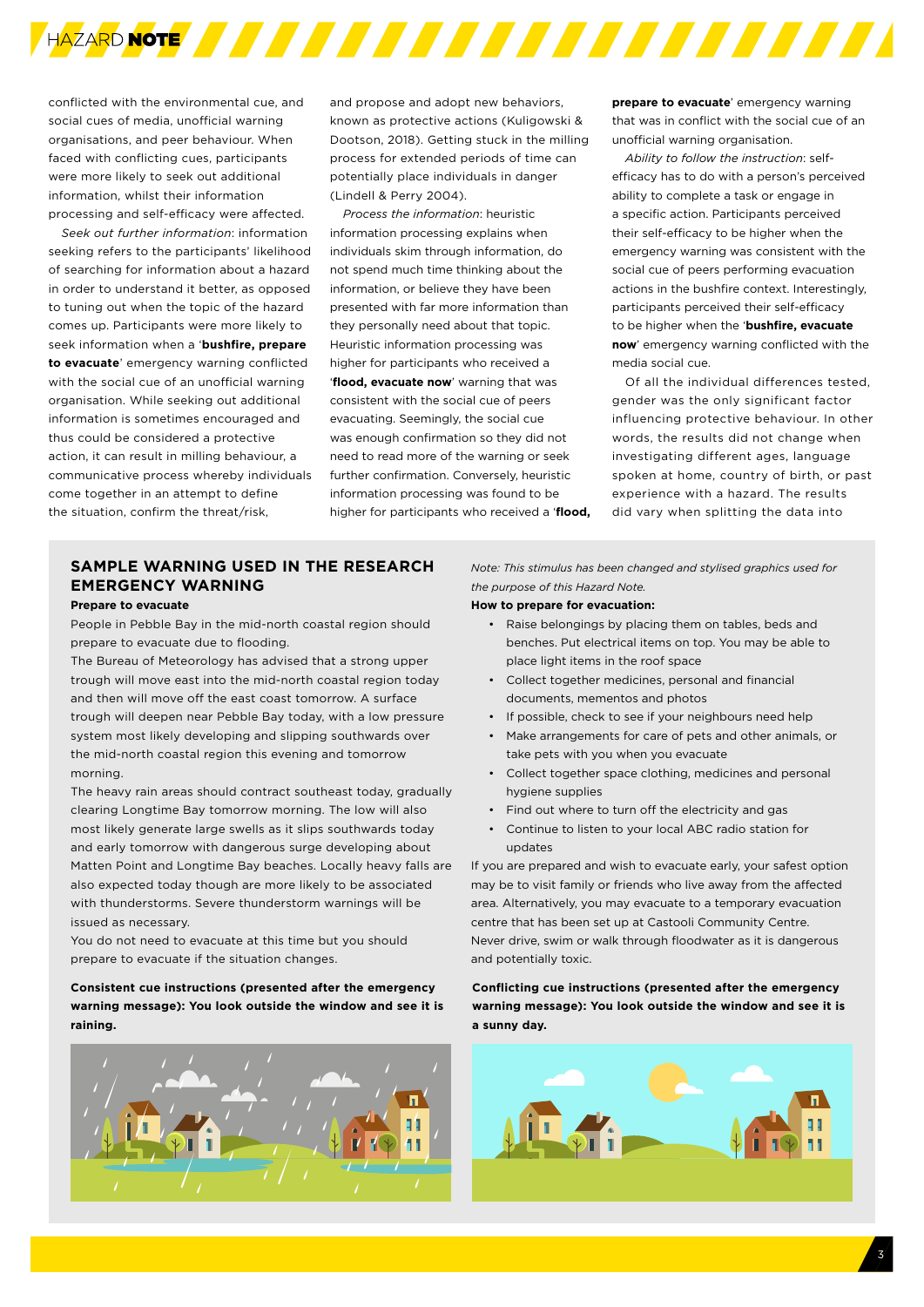

conflicted with the environmental cue, and social cues of media, unofficial warning organisations, and peer behaviour. When faced with conflicting cues, participants were more likely to seek out additional information, whilst their information processing and self-efficacy were affected.

*Seek out further information*: information seeking refers to the participants' likelihood of searching for information about a hazard in order to understand it better, as opposed to tuning out when the topic of the hazard comes up. Participants were more likely to seek information when a '**bushfire, prepare to evacuate**' emergency warning conflicted with the social cue of an unofficial warning organisation. While seeking out additional information is sometimes encouraged and thus could be considered a protective action, it can result in milling behaviour, a communicative process whereby individuals come together in an attempt to define the situation, confirm the threat/risk,

and propose and adopt new behaviors, known as protective actions (Kuligowski & Dootson, 2018). Getting stuck in the milling process for extended periods of time can potentially place individuals in danger (Lindell & Perry 2004).

*Process the information*: heuristic information processing explains when individuals skim through information, do not spend much time thinking about the information, or believe they have been presented with far more information than they personally need about that topic. Heuristic information processing was higher for participants who received a '**flood, evacuate now**' warning that was consistent with the social cue of peers evacuating. Seemingly, the social cue was enough confirmation so they did not need to read more of the warning or seek further confirmation. Conversely, heuristic information processing was found to be higher for participants who received a '**flood,** 

**prepare to evacuate**' emergency warning that was in conflict with the social cue of an unofficial warning organisation.

*Ability to follow the instruction*: selfefficacy has to do with a person's perceived ability to complete a task or engage in a specific action. Participants perceived their self-efficacy to be higher when the emergency warning was consistent with the social cue of peers performing evacuation actions in the bushfire context. Interestingly, participants perceived their self-efficacy to be higher when the '**bushfire, evacuate now**' emergency warning conflicted with the media social cue.

Of all the individual differences tested, gender was the only significant factor influencing protective behaviour. In other words, the results did not change when investigating different ages, language spoken at home, country of birth, or past experience with a hazard. The results did vary when splitting the data into

# **SAMPLE WARNING USED IN THE RESEARCH EMERGENCY WARNING**

#### **Prepare to evacuate**

People in Pebble Bay in the mid-north coastal region should prepare to evacuate due to flooding.

The Bureau of Meteorology has advised that a strong upper trough will move east into the mid-north coastal region today and then will move off the east coast tomorrow. A surface trough will deepen near Pebble Bay today, with a low pressure system most likely developing and slipping southwards over the mid-north coastal region this evening and tomorrow morning.

The heavy rain areas should contract southeast today, gradually clearing Longtime Bay tomorrow morning. The low will also most likely generate large swells as it slips southwards today and early tomorrow with dangerous surge developing about Matten Point and Longtime Bay beaches. Locally heavy falls are also expected today though are more likely to be associated with thunderstorms. Severe thunderstorm warnings will be issued as necessary.

You do not need to evacuate at this time but you should prepare to evacuate if the situation changes.

# **Consistent cue instructions (presented after the emergency warning message): You look outside the window and see it is raining.**



*Note: This stimulus has been changed and stylised graphics used for the purpose of this Hazard Note.*

#### **How to prepare for evacuation:**

- Raise belongings by placing them on tables, beds and benches. Put electrical items on top. You may be able to place light items in the roof space
- Collect together medicines, personal and financial documents, mementos and photos
- If possible, check to see if your neighbours need help
- Make arrangements for care of pets and other animals, or take pets with you when you evacuate
- Collect together space clothing, medicines and personal hygiene supplies
- Find out where to turn off the electricity and gas
- Continue to listen to your local ABC radio station for updates

If you are prepared and wish to evacuate early, your safest option may be to visit family or friends who live away from the affected area. Alternatively, you may evacuate to a temporary evacuation centre that has been set up at Castooli Community Centre. Never drive, swim or walk through floodwater as it is dangerous and potentially toxic.

**Conflicting cue instructions (presented after the emergency warning message): You look outside the window and see it is a sunny day.**